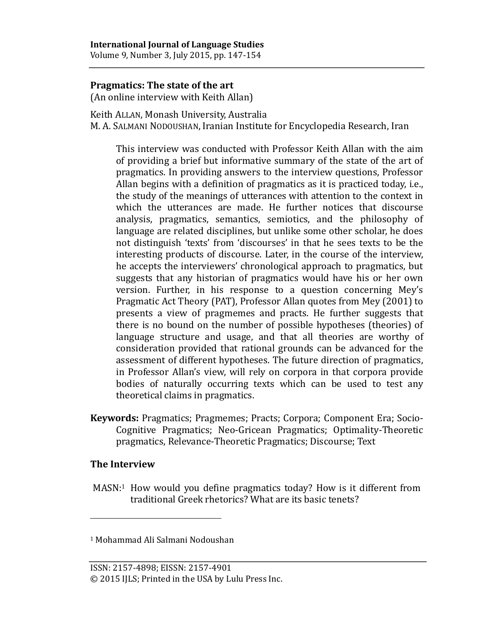Volume 9, Number 3, July 2015, pp. 147-154

## **Pragmatics: The state of the art**

(An online interview with Keith Allan)

Keith ALLAN, Monash University, Australia

M. A. SALMANI NODOUSHAN, Iranian Institute for Encyclopedia Research, Iran

This interview was conducted with Professor Keith Allan with the aim of providing a brief but informative summary of the state of the art of pragmatics. In providing answers to the interview questions, Professor Allan begins with a definition of pragmatics as it is practiced today, i.e., the study of the meanings of utterances with attention to the context in which the utterances are made. He further notices that discourse analysis, pragmatics, semantics, semiotics, and the philosophy of language are related disciplines, but unlike some other scholar, he does not distinguish 'texts' from 'discourses' in that he sees texts to be the interesting products of discourse. Later, in the course of the interview, he accepts the interviewers' chronological approach to pragmatics, but suggests that any historian of pragmatics would have his or her own version. Further, in his response to a question concerning Mey's Pragmatic Act Theory (PAT), Professor Allan quotes from Mey (2001) to presents a view of pragmemes and practs. He further suggests that there is no bound on the number of possible hypotheses (theories) of language structure and usage, and that all theories are worthy of consideration provided that rational grounds can be advanced for the assessment of different hypotheses. The future direction of pragmatics, in Professor Allan's view, will rely on corpora in that corpora provide bodies of naturally occurring texts which can be used to test any theoretical claims in pragmatics.

**Keywords:** Pragmatics; Pragmemes; Practs; Corpora; Component Era; Socio-Cognitive Pragmatics; Neo-Gricean Pragmatics; Optimality-Theoretic pragmatics, Relevance-Theoretic Pragmatics; Discourse; Text

## **The Interview**

 $\overline{a}$ 

MASN: <sup>1</sup> How would you define pragmatics today? How is it different from traditional Greek rhetorics? What are its basic tenets?

<sup>1</sup> Mohammad Ali Salmani Nodoushan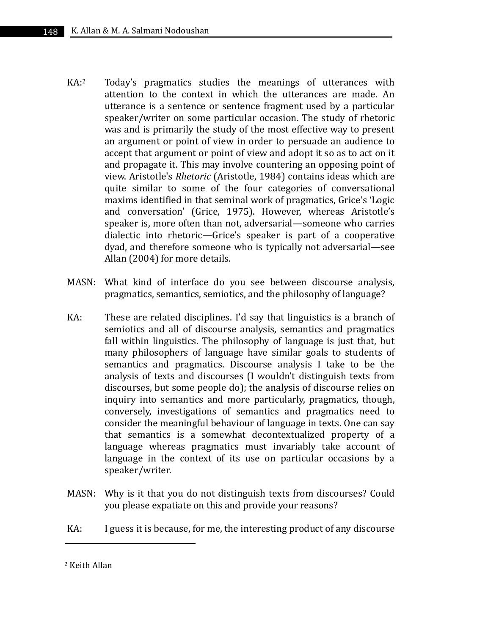- $KA:2$ Today's pragmatics studies the meanings of utterances with attention to the context in which the utterances are made. An utterance is a sentence or sentence fragment used by a particular speaker/writer on some particular occasion. The study of rhetoric was and is primarily the study of the most effective way to present an argument or point of view in order to persuade an audience to accept that argument or point of view and adopt it so as to act on it and propagate it. This may involve countering an opposing point of view. Aristotle's *Rhetoric* (Aristotle, 1984) contains ideas which are quite similar to some of the four categories of conversational maxims identified in that seminal work of pragmatics, Grice's 'Logic and conversation' (Grice, 1975). However, whereas Aristotle's speaker is, more often than not, adversarial—someone who carries dialectic into rhetoric—Grice's speaker is part of a cooperative dyad, and therefore someone who is typically not adversarial—see Allan (2004) for more details.
- MASN: What kind of interface do you see between discourse analysis, pragmatics, semantics, semiotics, and the philosophy of language?
- KA: These are related disciplines. I'd say that linguistics is a branch of semiotics and all of discourse analysis, semantics and pragmatics fall within linguistics. The philosophy of language is just that, but many philosophers of language have similar goals to students of semantics and pragmatics. Discourse analysis I take to be the analysis of texts and discourses (I wouldn't distinguish texts from discourses, but some people do); the analysis of discourse relies on inquiry into semantics and more particularly, pragmatics, though, conversely, investigations of semantics and pragmatics need to consider the meaningful behaviour of language in texts. One can say that semantics is a somewhat decontextualized property of a language whereas pragmatics must invariably take account of language in the context of its use on particular occasions by a speaker/writer.
- MASN: Why is it that you do not distinguish texts from discourses? Could you please expatiate on this and provide your reasons?
- KA: I guess it is because, for me, the interesting product of any discourse

 $\overline{a}$ 

<sup>2</sup> Keith Allan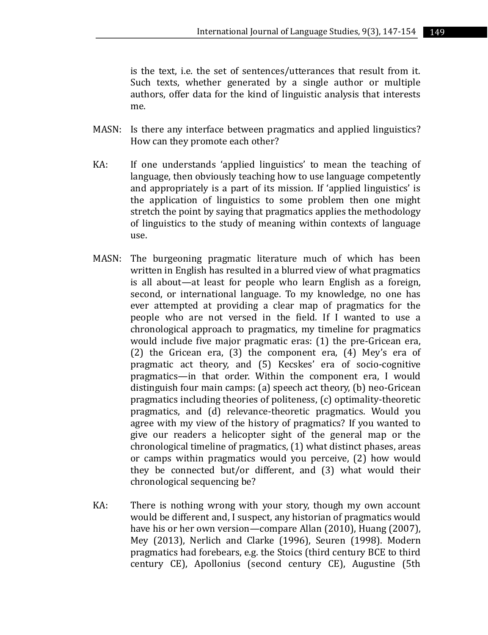is the text, i.e. the set of sentences/utterances that result from it. Such texts, whether generated by a single author or multiple authors, offer data for the kind of linguistic analysis that interests me.

- MASN: Is there any interface between pragmatics and applied linguistics? How can they promote each other?
- KA: If one understands 'applied linguistics' to mean the teaching of language, then obviously teaching how to use language competently and appropriately is a part of its mission. If 'applied linguistics' is the application of linguistics to some problem then one might stretch the point by saying that pragmatics applies the methodology of linguistics to the study of meaning within contexts of language use.
- MASN: The burgeoning pragmatic literature much of which has been written in English has resulted in a blurred view of what pragmatics is all about—at least for people who learn English as a foreign, second, or international language. To my knowledge, no one has ever attempted at providing a clear map of pragmatics for the people who are not versed in the field. If I wanted to use a chronological approach to pragmatics, my timeline for pragmatics would include five major pragmatic eras: (1) the pre-Gricean era, (2) the Gricean era, (3) the component era, (4) Mey's era of pragmatic act theory, and (5) Kecskes' era of socio-cognitive pragmatics—in that order. Within the component era, I would distinguish four main camps: (a) speech act theory, (b) neo-Gricean pragmatics including theories of politeness, (c) optimality-theoretic pragmatics, and (d) relevance-theoretic pragmatics. Would you agree with my view of the history of pragmatics? If you wanted to give our readers a helicopter sight of the general map or the chronological timeline of pragmatics, (1) what distinct phases, areas or camps within pragmatics would you perceive, (2) how would they be connected but/or different, and (3) what would their chronological sequencing be?
- KA: There is nothing wrong with your story, though my own account would be different and, I suspect, any historian of pragmatics would have his or her own version—compare Allan (2010), Huang (2007), Mey (2013), Nerlich and Clarke (1996), Seuren (1998). Modern pragmatics had forebears, e.g. the Stoics (third century BCE to third century CE), Apollonius (second century CE), Augustine (5th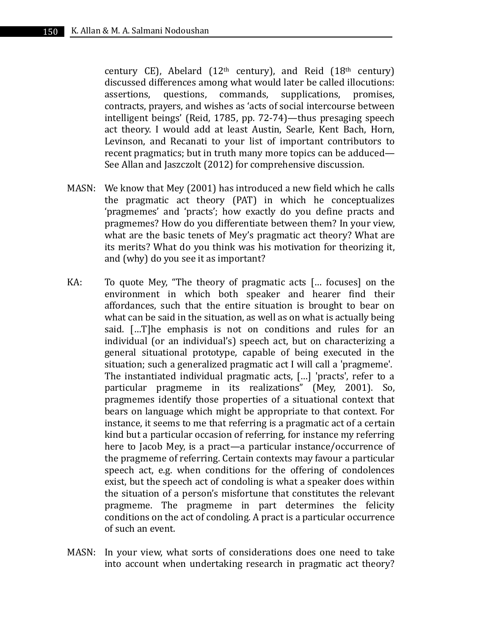century CE), Abelard ( $12<sup>th</sup>$  century), and Reid ( $18<sup>th</sup>$  century) discussed differences among what would later be called illocutions: assertions, questions, commands, supplications, promises, contracts, prayers, and wishes as 'acts of social intercourse between intelligent beings' (Reid, 1785, pp. 72-74)—thus presaging speech act theory. I would add at least Austin, Searle, Kent Bach, Horn, Levinson, and Recanati to your list of important contributors to recent pragmatics; but in truth many more topics can be adduced— See Allan and Jaszczolt (2012) for comprehensive discussion.

- MASN: We know that Mey (2001) has introduced a new field which he calls the pragmatic act theory (PAT) in which he conceptualizes 'pragmemes' and 'practs'; how exactly do you define practs and pragmemes? How do you differentiate between them? In your view, what are the basic tenets of Mey's pragmatic act theory? What are its merits? What do you think was his motivation for theorizing it, and (why) do you see it as important?
- KA: To quote Mey, "The theory of pragmatic acts [… focuses] on the environment in which both speaker and hearer find their affordances, such that the entire situation is brought to bear on what can be said in the situation, as well as on what is actually being said. […T]he emphasis is not on conditions and rules for an individual (or an individual's) speech act, but on characterizing a general situational prototype, capable of being executed in the situation; such a generalized pragmatic act I will call a 'pragmeme'. The instantiated individual pragmatic acts, […] 'practs', refer to a particular pragmeme in its realizations" (Mey, 2001). So, pragmemes identify those properties of a situational context that bears on language which might be appropriate to that context. For instance, it seems to me that referring is a pragmatic act of a certain kind but a particular occasion of referring, for instance my referring here to Jacob Mey, is a pract—a particular instance/occurrence of the pragmeme of referring. Certain contexts may favour a particular speech act, e.g. when conditions for the offering of condolences exist, but the speech act of condoling is what a speaker does within the situation of a person's misfortune that constitutes the relevant pragmeme. The pragmeme in part determines the felicity conditions on the act of condoling. A pract is a particular occurrence of such an event.
- MASN: In your view, what sorts of considerations does one need to take into account when undertaking research in pragmatic act theory?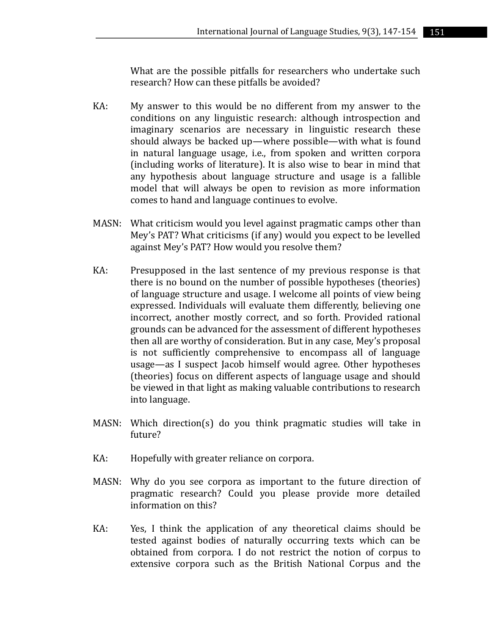What are the possible pitfalls for researchers who undertake such research? How can these pitfalls be avoided?

- KA: My answer to this would be no different from my answer to the conditions on any linguistic research: although introspection and imaginary scenarios are necessary in linguistic research these should always be backed up—where possible—with what is found in natural language usage, i.e., from spoken and written corpora (including works of literature). It is also wise to bear in mind that any hypothesis about language structure and usage is a fallible model that will always be open to revision as more information comes to hand and language continues to evolve.
- MASN: What criticism would you level against pragmatic camps other than Mey's PAT? What criticisms (if any) would you expect to be levelled against Mey's PAT? How would you resolve them?
- KA: Presupposed in the last sentence of my previous response is that there is no bound on the number of possible hypotheses (theories) of language structure and usage. I welcome all points of view being expressed. Individuals will evaluate them differently, believing one incorrect, another mostly correct, and so forth. Provided rational grounds can be advanced for the assessment of different hypotheses then all are worthy of consideration. But in any case, Mey's proposal is not sufficiently comprehensive to encompass all of language usage—as I suspect Jacob himself would agree. Other hypotheses (theories) focus on different aspects of language usage and should be viewed in that light as making valuable contributions to research into language.
- MASN: Which direction(s) do you think pragmatic studies will take in future?
- KA: Hopefully with greater reliance on corpora.
- MASN: Why do you see corpora as important to the future direction of pragmatic research? Could you please provide more detailed information on this?
- KA: Yes, I think the application of any theoretical claims should be tested against bodies of naturally occurring texts which can be obtained from corpora. I do not restrict the notion of corpus to extensive corpora such as the British National Corpus and the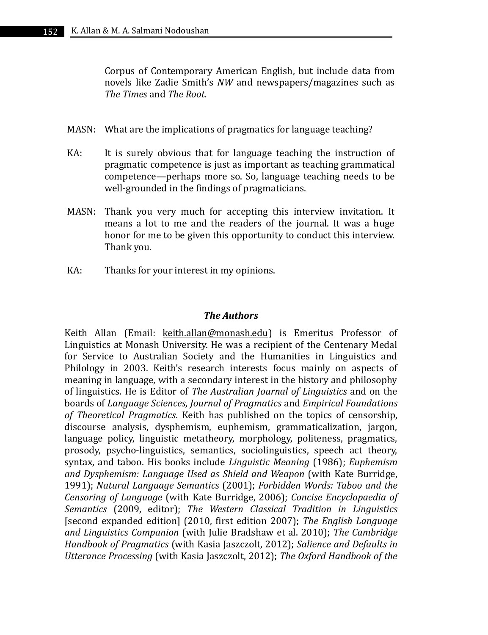Corpus of Contemporary American English, but include data from novels like Zadie Smith's *NW* and newspapers/magazines such as *The Times* and *The Root.*

- MASN: What are the implications of pragmatics for language teaching?
- KA: It is surely obvious that for language teaching the instruction of pragmatic competence is just as important as teaching grammatical competence—perhaps more so. So, language teaching needs to be well-grounded in the findings of pragmaticians.
- MASN: Thank you very much for accepting this interview invitation. It means a lot to me and the readers of the journal. It was a huge honor for me to be given this opportunity to conduct this interview. Thank you.
- KA: Thanks for your interest in my opinions.

## *The Authors*

Keith Allan (Email: keith.allan@monash.edu) is Emeritus Professor of Linguistics at Monash University. He was a recipient of the Centenary Medal for Service to Australian Society and the Humanities in Linguistics and Philology in 2003. Keith's research interests focus mainly on aspects of meaning in language, with a secondary interest in the history and philosophy of linguistics. He is Editor of *The Australian Journal of Linguistics* and on the boards of *Language Sciences*, *Journal of Pragmatics* and *Empirical Foundations of Theoretical Pragmatics*. Keith has published on the topics of censorship, discourse analysis, dysphemism, euphemism, grammaticalization, jargon, language policy, linguistic metatheory, morphology, politeness, pragmatics, prosody, psycho-linguistics, semantics, sociolinguistics, speech act theory, syntax, and taboo. His books include *Linguistic Meaning* (1986); *Euphemism and Dysphemism: Language Used as Shield and Weapon* (with Kate Burridge, 1991); *Natural Language Semantics* (2001); *Forbidden Words: Taboo and the Censoring of Language* (with Kate Burridge, 2006); *Concise Encyclopaedia of Semantics* (2009, editor); *The Western Classical Tradition in Linguistics* [second expanded edition] (2010, first edition 2007); *The English Language and Linguistics Companion* (with Julie Bradshaw et al. 2010); *The Cambridge Handbook of Pragmatics* (with Kasia Jaszczolt, 2012); *Salience and Defaults in Utterance Processing* (with Kasia Jaszczolt, 2012); *The Oxford Handbook of the*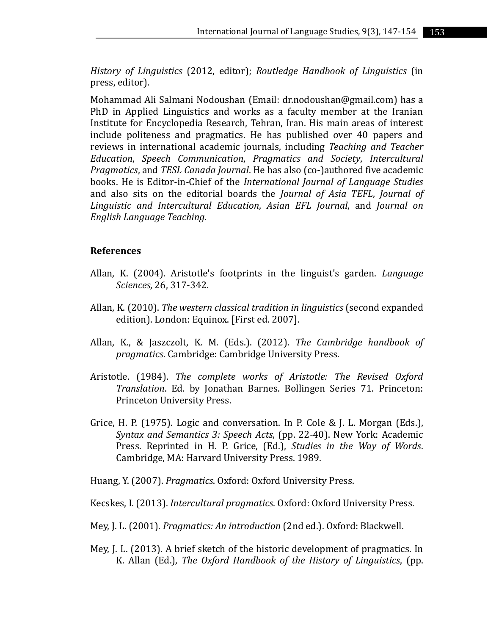*History of Linguistics* (2012, editor); *Routledge Handbook of Linguistics* (in press, editor).

Mohammad Ali Salmani Nodoushan (Email: dr.nodoushan@gmail.com) has a PhD in Applied Linguistics and works as a faculty member at the Iranian Institute for Encyclopedia Research, Tehran, Iran. His main areas of interest include politeness and pragmatics. He has published over 40 papers and reviews in international academic journals, including *Teaching and Teacher Education*, *Speech Communication*, *Pragmatics and Society*, *Intercultural Pragmatics*, and *TESL Canada Journal*. He has also (co-)authored five academic books. He is Editor-in-Chief of the *International Journal of Language Studies* and also sits on the editorial boards the *Journal of Asia TEFL*, *Journal of Linguistic and Intercultural Education*, *Asian EFL Journal*, and *Journal on English Language Teaching*.

## **References**

- Allan, K. (2004). Aristotle's footprints in the linguist's garden. *Language Sciences*, 26, 317-342.
- Allan, K. (2010). *The western classical tradition in linguistics* (second expanded edition). London: Equinox. [First ed. 2007].
- Allan, K., & Jaszczolt, K. M. (Eds.). (2012). *The Cambridge handbook of pragmatics*. Cambridge: Cambridge University Press.
- Aristotle. (1984). *The complete works of Aristotle: The Revised Oxford Translation*. Ed. by Jonathan Barnes. Bollingen Series 71. Princeton: Princeton University Press.
- Grice, H. P. (1975). Logic and conversation. In P. Cole & J. L. Morgan (Eds.), *Syntax and Semantics 3: Speech Acts*, (pp. 22-40). New York: Academic Press. Reprinted in H. P. Grice, (Ed.), *Studies in the Way of Words*. Cambridge, MA: Harvard University Press. 1989.
- Huang, Y. (2007). *Pragmatics*. Oxford: Oxford University Press.
- Kecskes, I. (2013). *Intercultural pragmatics*. Oxford: Oxford University Press.
- Mey, J. L. (2001). *Pragmatics: An introduction* (2nd ed.). Oxford: Blackwell.
- Mey, J. L. (2013). A brief sketch of the historic development of pragmatics. In K. Allan (Ed.), *The Oxford Handbook of the History of Linguistics*, (pp.